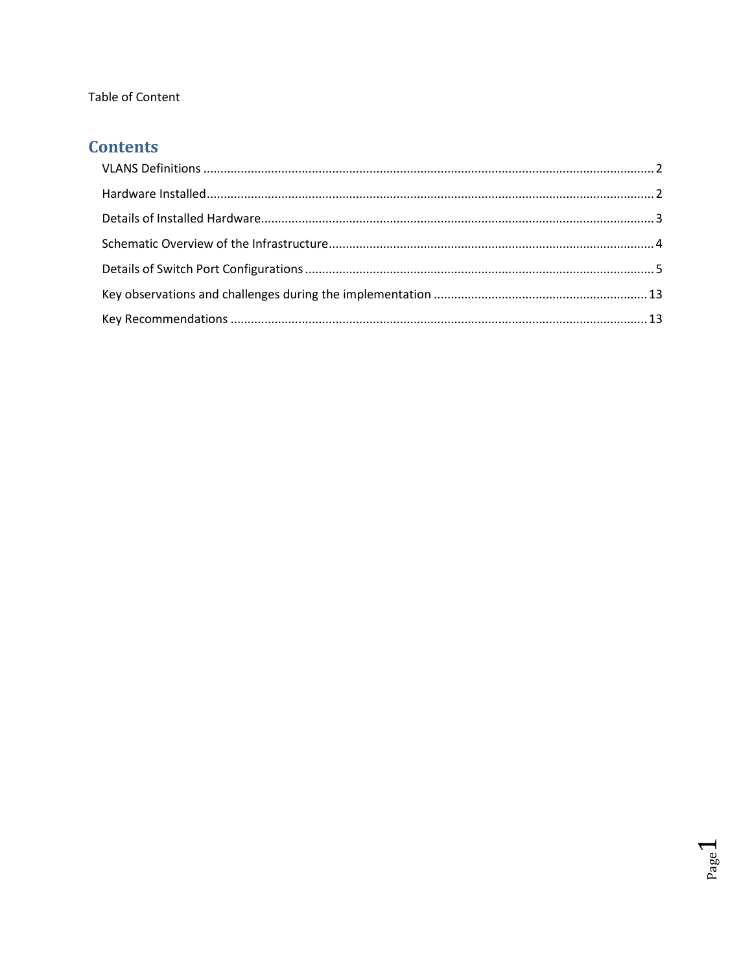#### Table of Content

# **Contents**

Page 1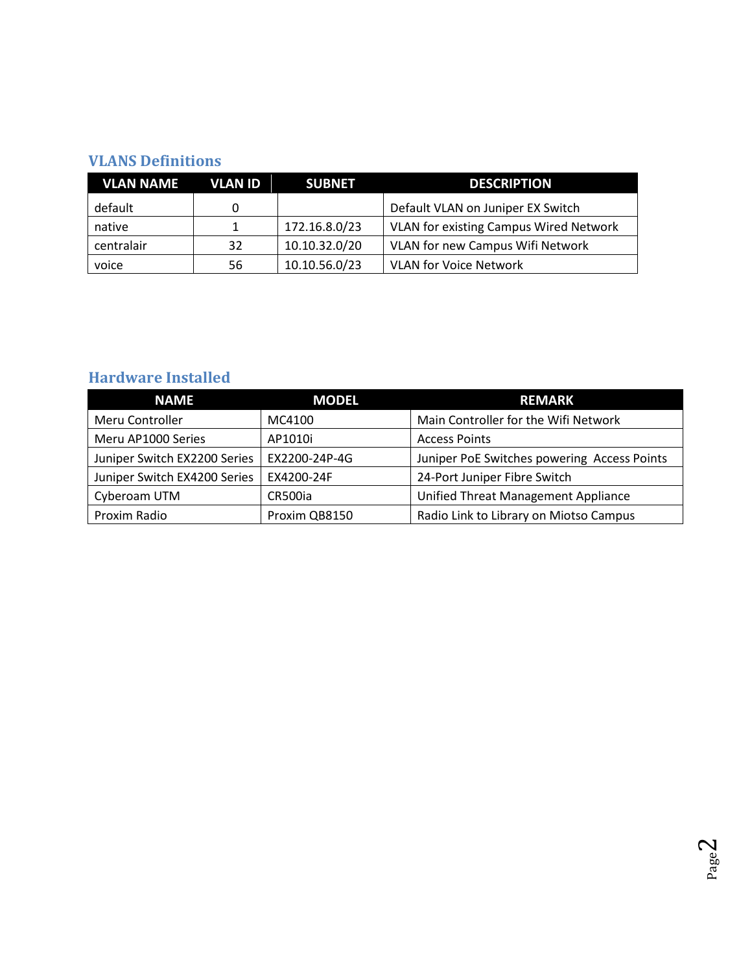### **VLANS Definitions**

| <b>VLAN NAME</b> | VLAN ID | <b>SUBNET</b> | <b>DESCRIPTION</b>                            |
|------------------|---------|---------------|-----------------------------------------------|
| default          | 0       |               | Default VLAN on Juniper EX Switch             |
| native           |         | 172.16.8.0/23 | <b>VLAN for existing Campus Wired Network</b> |
| centralair       | 32      | 10.10.32.0/20 | <b>VLAN for new Campus Wifi Network</b>       |
| voice            | 56      | 10.10.56.0/23 | <b>VLAN for Voice Network</b>                 |

## **Hardware Installed**

| <b>NAME</b>                  | <b>MODEL</b>  | <b>REMARK</b>                               |
|------------------------------|---------------|---------------------------------------------|
| Meru Controller              | MC4100        | Main Controller for the Wifi Network        |
| Meru AP1000 Series           | AP1010i       | <b>Access Points</b>                        |
| Juniper Switch EX2200 Series | EX2200-24P-4G | Juniper PoE Switches powering Access Points |
| Juniper Switch EX4200 Series | EX4200-24F    | 24-Port Juniper Fibre Switch                |
| Cyberoam UTM                 | CR500ia       | Unified Threat Management Appliance         |
| Proxim Radio                 | Proxim QB8150 | Radio Link to Library on Miotso Campus      |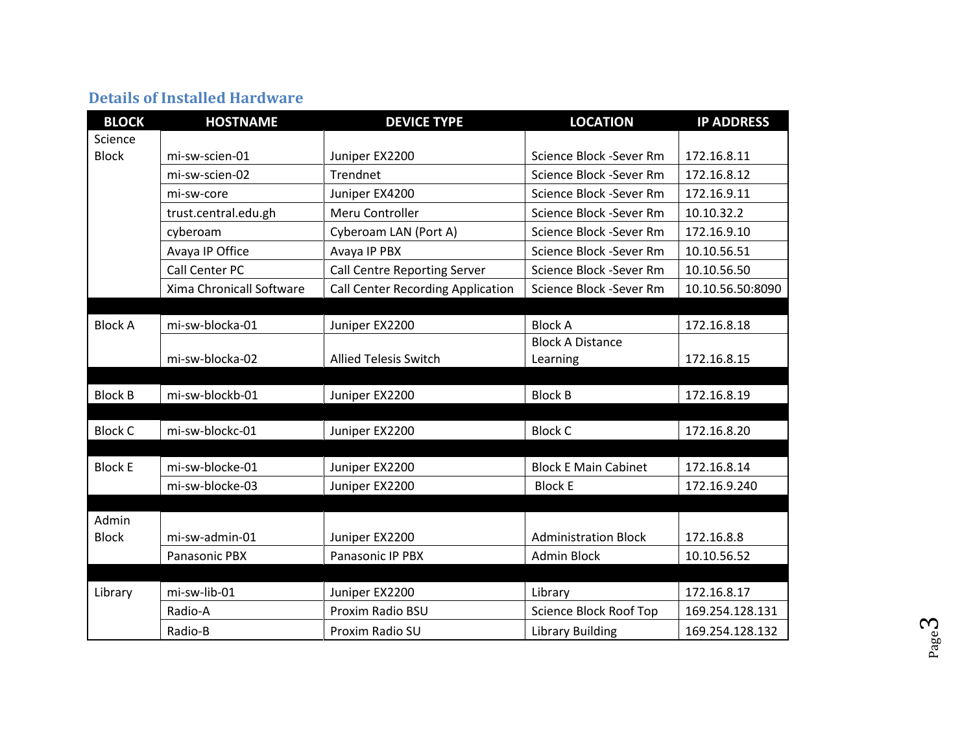## **Details of Installed Hardware**

| <b>BLOCK</b>   | <b>HOSTNAME</b>          | <b>DEVICE TYPE</b>                       | <b>LOCATION</b>             | <b>IP ADDRESS</b> |
|----------------|--------------------------|------------------------------------------|-----------------------------|-------------------|
| Science        |                          |                                          |                             |                   |
| <b>Block</b>   | mi-sw-scien-01           | Juniper EX2200                           | Science Block -Sever Rm     | 172.16.8.11       |
|                | mi-sw-scien-02           | Trendnet                                 | Science Block -Sever Rm     | 172.16.8.12       |
|                | mi-sw-core               | Juniper EX4200                           | Science Block -Sever Rm     | 172.16.9.11       |
|                | trust.central.edu.gh     | Meru Controller                          | Science Block -Sever Rm     | 10.10.32.2        |
|                | cyberoam                 | Cyberoam LAN (Port A)                    | Science Block -Sever Rm     | 172.16.9.10       |
|                | Avaya IP Office          | Avaya IP PBX                             | Science Block -Sever Rm     | 10.10.56.51       |
|                | Call Center PC           | Call Centre Reporting Server             | Science Block -Sever Rm     | 10.10.56.50       |
|                | Xima Chronicall Software | <b>Call Center Recording Application</b> | Science Block -Sever Rm     | 10.10.56.50:8090  |
|                |                          |                                          |                             |                   |
| <b>Block A</b> | mi-sw-blocka-01          | Juniper EX2200                           | <b>Block A</b>              | 172.16.8.18       |
|                |                          |                                          | <b>Block A Distance</b>     |                   |
|                | mi-sw-blocka-02          | <b>Allied Telesis Switch</b>             | Learning                    | 172.16.8.15       |
|                |                          |                                          |                             |                   |
| <b>Block B</b> | mi-sw-blockb-01          | Juniper EX2200                           | <b>Block B</b>              | 172.16.8.19       |
|                |                          |                                          |                             |                   |
| <b>Block C</b> | mi-sw-blockc-01          | Juniper EX2200                           | <b>Block C</b>              | 172.16.8.20       |
|                |                          |                                          |                             |                   |
| <b>Block E</b> | mi-sw-blocke-01          | Juniper EX2200                           | <b>Block E Main Cabinet</b> | 172.16.8.14       |
|                | mi-sw-blocke-03          | Juniper EX2200                           | <b>Block E</b>              | 172.16.9.240      |
| Admin          |                          |                                          |                             |                   |
| <b>Block</b>   | mi-sw-admin-01           | Juniper EX2200                           | <b>Administration Block</b> | 172.16.8.8        |
|                | Panasonic PBX            | Panasonic IP PBX                         | <b>Admin Block</b>          | 10.10.56.52       |
|                |                          |                                          |                             |                   |
| Library        | mi-sw-lib-01             | Juniper EX2200                           | Library                     | 172.16.8.17       |
|                | Radio-A                  | Proxim Radio BSU                         | Science Block Roof Top      | 169.254.128.131   |
|                | Radio-B                  | Proxim Radio SU                          | <b>Library Building</b>     | 169.254.128.132   |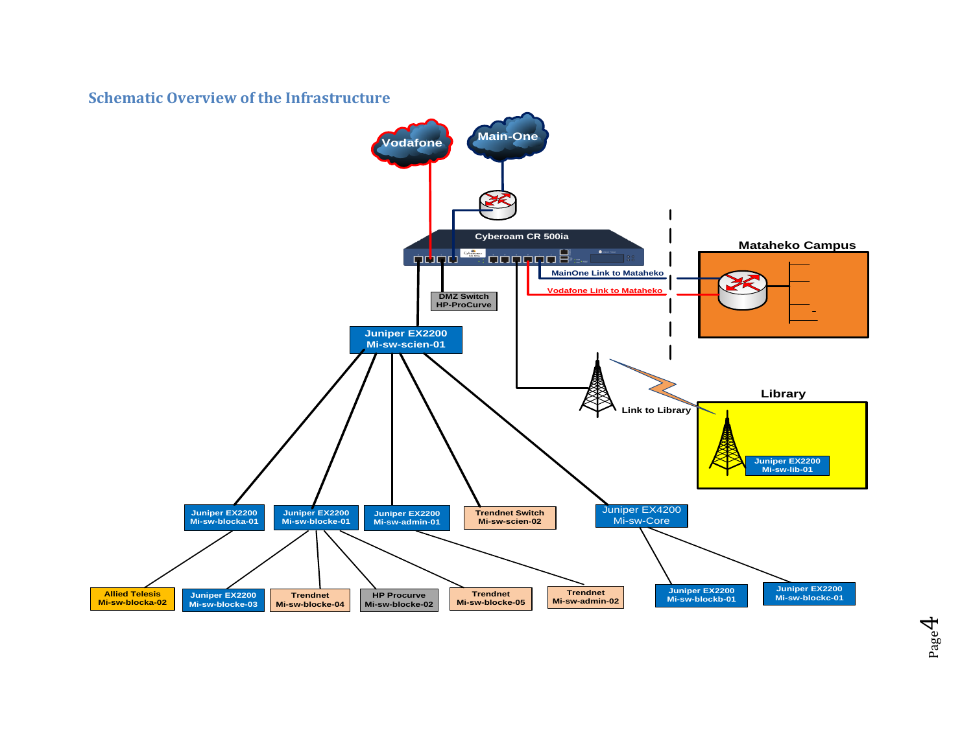**Schematic Overview of the Infrastructure**

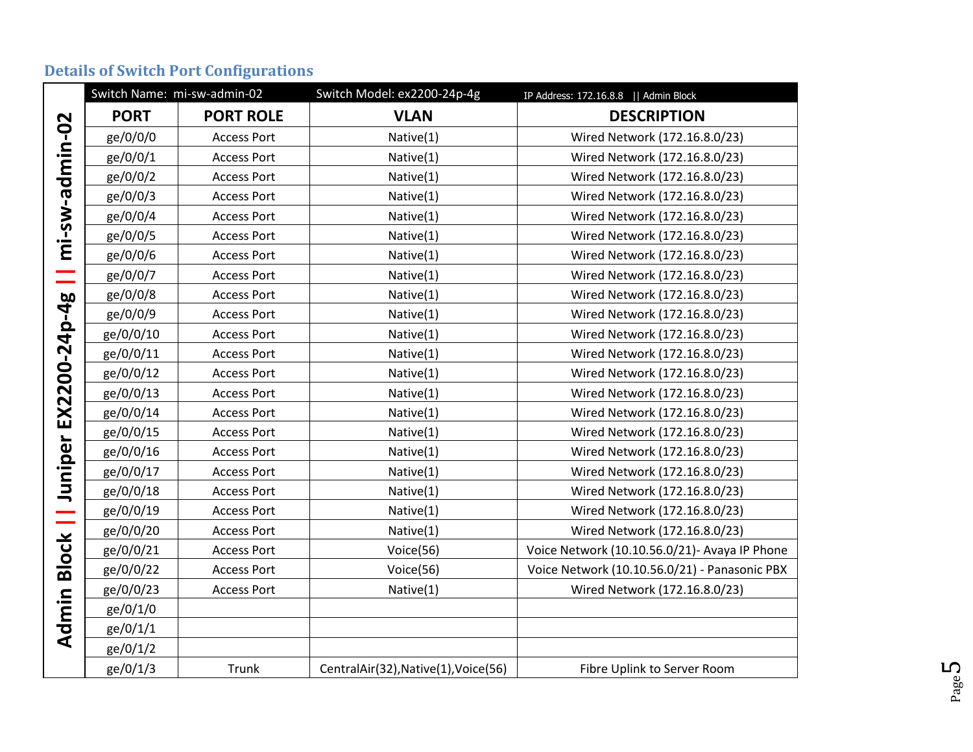|  |  | <b>Details of Switch Port Configurations</b> |
|--|--|----------------------------------------------|
|  |  |                                              |

|                 | Switch Name: mi-sw-admin-02 |                    | Switch Model: ex2200-24p-4g          | IP Address: 172.16.8.8     Admin Block        |
|-----------------|-----------------------------|--------------------|--------------------------------------|-----------------------------------------------|
|                 | <b>PORT</b>                 | <b>PORT ROLE</b>   | <b>VLAN</b>                          | <b>DESCRIPTION</b>                            |
| mi-sw-admin-02  | ge/0/0/0                    | <b>Access Port</b> | Native(1)                            | Wired Network (172.16.8.0/23)                 |
|                 | ge/0/0/1                    | <b>Access Port</b> | Native(1)                            | Wired Network (172.16.8.0/23)                 |
|                 | ge/0/0/2                    | <b>Access Port</b> | Native(1)                            | Wired Network (172.16.8.0/23)                 |
|                 | ge/0/0/3                    | <b>Access Port</b> | Native(1)                            | Wired Network (172.16.8.0/23)                 |
|                 | ge/0/0/4                    | <b>Access Port</b> | Native(1)                            | Wired Network (172.16.8.0/23)                 |
|                 | ge/0/0/5                    | <b>Access Port</b> | Native(1)                            | Wired Network (172.16.8.0/23)                 |
|                 | ge/0/0/6                    | <b>Access Port</b> | Native(1)                            | Wired Network (172.16.8.0/23)                 |
|                 | ge/0/0/7                    | <b>Access Port</b> | Native(1)                            | Wired Network (172.16.8.0/23)                 |
|                 | ge/0/0/8                    | <b>Access Port</b> | Native(1)                            | Wired Network (172.16.8.0/23)                 |
| EX2200-24p-4g   | ge/0/0/9                    | <b>Access Port</b> | Native(1)                            | Wired Network (172.16.8.0/23)                 |
|                 | ge/0/0/10                   | <b>Access Port</b> | Native(1)                            | Wired Network (172.16.8.0/23)                 |
|                 | ge/0/0/11                   | <b>Access Port</b> | Native(1)                            | Wired Network (172.16.8.0/23)                 |
|                 | ge/0/0/12                   | <b>Access Port</b> | Native(1)                            | Wired Network (172.16.8.0/23)                 |
|                 | ge/0/0/13                   | <b>Access Port</b> | Native(1)                            | Wired Network (172.16.8.0/23)                 |
|                 | ge/0/0/14                   | <b>Access Port</b> | Native(1)                            | Wired Network (172.16.8.0/23)                 |
|                 | ge/0/0/15                   | <b>Access Port</b> | Native(1)                            | Wired Network (172.16.8.0/23)                 |
| Juniper         | ge/0/0/16                   | <b>Access Port</b> | Native(1)                            | Wired Network (172.16.8.0/23)                 |
|                 | ge/0/0/17                   | <b>Access Port</b> | Native(1)                            | Wired Network (172.16.8.0/23)                 |
|                 | ge/0/0/18                   | <b>Access Port</b> | Native(1)                            | Wired Network (172.16.8.0/23)                 |
|                 | ge/0/0/19                   | <b>Access Port</b> | Native(1)                            | Wired Network (172.16.8.0/23)                 |
|                 | ge/0/0/20                   | <b>Access Port</b> | Native(1)                            | Wired Network (172.16.8.0/23)                 |
|                 | ge/0/0/21                   | <b>Access Port</b> | Voice(56)                            | Voice Network (10.10.56.0/21)- Avaya IP Phone |
| <b>Block   </b> | ge/0/0/22                   | <b>Access Port</b> | Voice(56)                            | Voice Network (10.10.56.0/21) - Panasonic PBX |
|                 | ge/0/0/23                   | <b>Access Port</b> | Native(1)                            | Wired Network (172.16.8.0/23)                 |
| Admin           | ge/0/1/0                    |                    |                                      |                                               |
|                 | ge/0/1/1                    |                    |                                      |                                               |
|                 | ge/0/1/2                    |                    |                                      |                                               |
|                 | ge/0/1/3                    | Trunk              | CentralAir(32), Native(1), Voice(56) | Fibre Uplink to Server Room                   |

Page L∩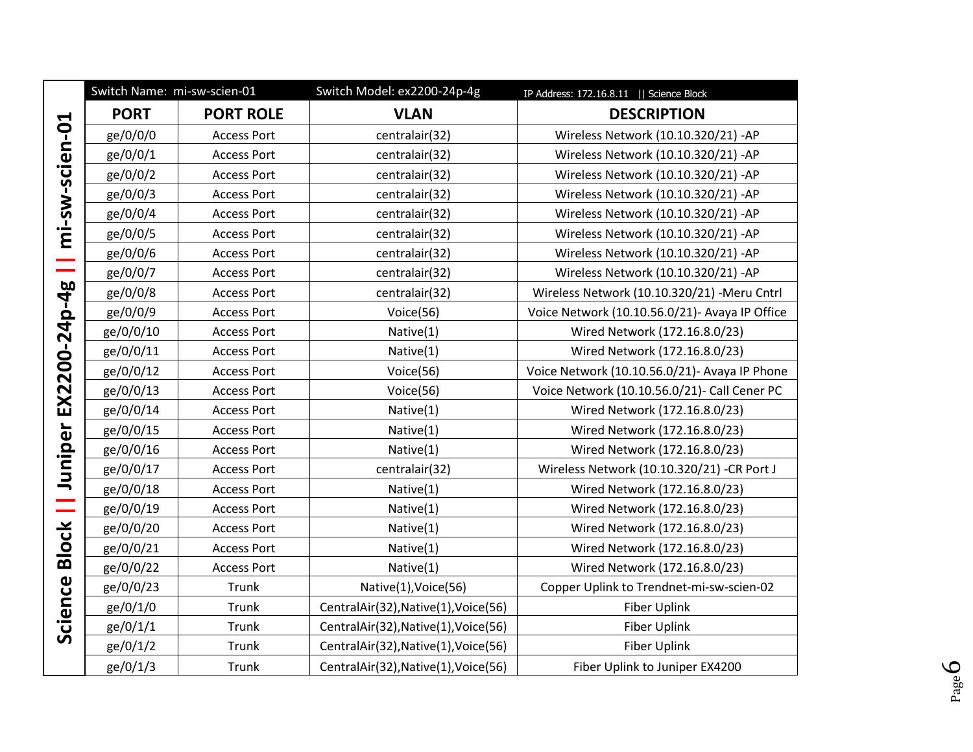|                | Switch Name: mi-sw-scien-01 |                    | Switch Model: ex2200-24p-4g          | IP Address: 172.16.8.11   Science Block         |
|----------------|-----------------------------|--------------------|--------------------------------------|-------------------------------------------------|
|                | <b>PORT</b>                 | <b>PORT ROLE</b>   | <b>VLAN</b>                          | <b>DESCRIPTION</b>                              |
| mi-sw-scien-01 | ge/0/0/0                    | <b>Access Port</b> | centralair(32)                       | Wireless Network (10.10.320/21) - AP            |
|                | ge/0/0/1                    | <b>Access Port</b> | centralair(32)                       | Wireless Network (10.10.320/21) - AP            |
|                | ge/0/0/2                    | <b>Access Port</b> | centralair(32)                       | Wireless Network (10.10.320/21) - AP            |
|                | ge/0/0/3                    | <b>Access Port</b> | centralair(32)                       | Wireless Network (10.10.320/21) - AP            |
|                | ge/0/0/4                    | <b>Access Port</b> | centralair(32)                       | Wireless Network (10.10.320/21) - AP            |
|                | ge/0/0/5                    | <b>Access Port</b> | centralair(32)                       | Wireless Network (10.10.320/21) - AP            |
|                | ge/0/0/6                    | <b>Access Port</b> | centralair(32)                       | Wireless Network (10.10.320/21) - AP            |
|                | ge/0/0/7                    | <b>Access Port</b> | centralair(32)                       | Wireless Network (10.10.320/21) - AP            |
| EX2200-24p-4g  | ge/0/0/8                    | <b>Access Port</b> | centralair(32)                       | Wireless Network (10.10.320/21) -Meru Cntrl     |
|                | ge/0/0/9                    | <b>Access Port</b> | Voice(56)                            | Voice Network (10.10.56.0/21) - Avaya IP Office |
|                | ge/0/0/10                   | <b>Access Port</b> | Native(1)                            | Wired Network (172.16.8.0/23)                   |
|                | ge/0/0/11                   | <b>Access Port</b> | Native(1)                            | Wired Network (172.16.8.0/23)                   |
|                | ge/0/0/12                   | <b>Access Port</b> | Voice(56)                            | Voice Network (10.10.56.0/21)- Avaya IP Phone   |
|                | ge/0/0/13                   | <b>Access Port</b> | Voice(56)                            | Voice Network (10.10.56.0/21)- Call Cener PC    |
|                | ge/0/0/14                   | <b>Access Port</b> | Native(1)                            | Wired Network (172.16.8.0/23)                   |
|                | ge/0/0/15                   | <b>Access Port</b> | Native(1)                            | Wired Network (172.16.8.0/23)                   |
| Juniper        | ge/0/0/16                   | <b>Access Port</b> | Native(1)                            | Wired Network (172.16.8.0/23)                   |
|                | ge/0/0/17                   | <b>Access Port</b> | centralair(32)                       | Wireless Network (10.10.320/21) -CR Port J      |
|                | ge/0/0/18                   | <b>Access Port</b> | Native(1)                            | Wired Network (172.16.8.0/23)                   |
|                | ge/0/0/19                   | <b>Access Port</b> | Native(1)                            | Wired Network (172.16.8.0/23)                   |
| <b>Block</b>   | ge/0/0/20                   | <b>Access Port</b> | Native(1)                            | Wired Network (172.16.8.0/23)                   |
|                | ge/0/0/21                   | <b>Access Port</b> | Native(1)                            | Wired Network (172.16.8.0/23)                   |
|                | ge/0/0/22                   | <b>Access Port</b> | Native(1)                            | Wired Network (172.16.8.0/23)                   |
| Science        | ge/0/0/23                   | Trunk              | Native(1), Voice(56)                 | Copper Uplink to Trendnet-mi-sw-scien-02        |
|                | ge/0/1/0                    | Trunk              | CentralAir(32), Native(1), Voice(56) | Fiber Uplink                                    |
|                | ge/0/1/1                    | Trunk              | CentralAir(32), Native(1), Voice(56) | Fiber Uplink                                    |
|                | ge/0/1/2                    | Trunk              | CentralAir(32), Native(1), Voice(56) | Fiber Uplink                                    |
|                | ge/0/1/3                    | Trunk              | CentralAir(32), Native(1), Voice(56) | Fiber Uplink to Juniper EX4200                  |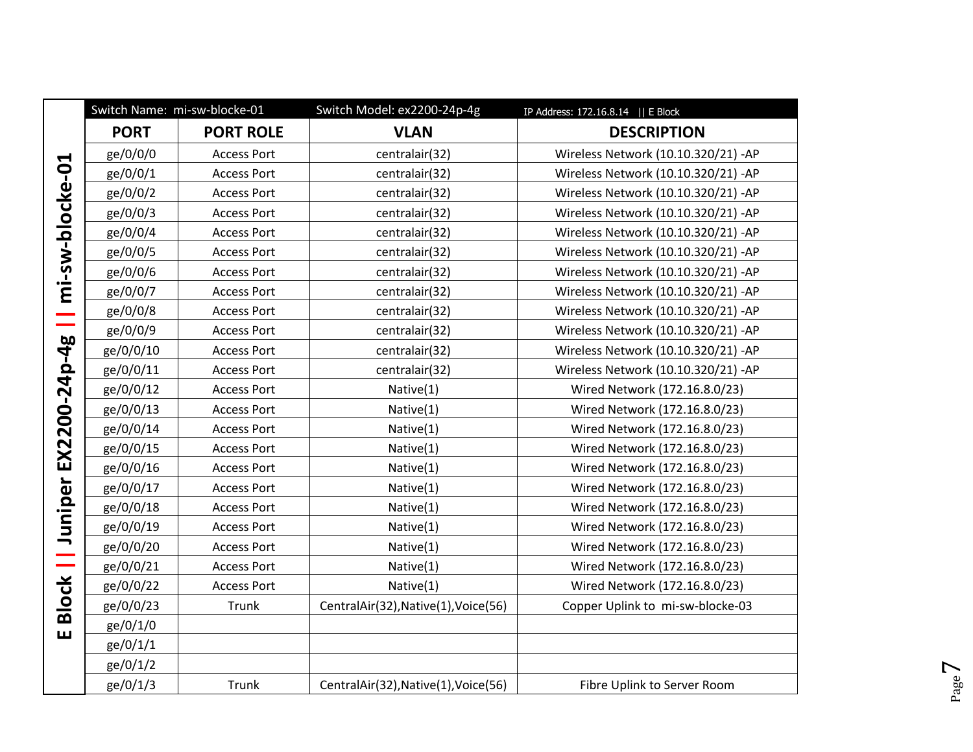|                 |             | Switch Name: mi-sw-blocke-01 | Switch Model: ex2200-24p-4g          | IP Address: 172.16.8.14    E Block   |
|-----------------|-------------|------------------------------|--------------------------------------|--------------------------------------|
|                 | <b>PORT</b> | <b>PORT ROLE</b>             | <b>VLAN</b>                          | <b>DESCRIPTION</b>                   |
|                 | ge/0/0/0    | <b>Access Port</b>           | centralair(32)                       | Wireless Network (10.10.320/21) - AP |
| mi-sw-blocke-01 | ge/0/0/1    | <b>Access Port</b>           | centralair(32)                       | Wireless Network (10.10.320/21) - AP |
|                 | ge/0/0/2    | <b>Access Port</b>           | centralair(32)                       | Wireless Network (10.10.320/21) - AP |
|                 | ge/0/0/3    | <b>Access Port</b>           | centralair(32)                       | Wireless Network (10.10.320/21) - AP |
|                 | ge/0/0/4    | <b>Access Port</b>           | centralair(32)                       | Wireless Network (10.10.320/21) - AP |
|                 | ge/0/0/5    | <b>Access Port</b>           | centralair(32)                       | Wireless Network (10.10.320/21) - AP |
|                 | ge/0/0/6    | <b>Access Port</b>           | centralair(32)                       | Wireless Network (10.10.320/21) - AP |
|                 | ge/0/0/7    | <b>Access Port</b>           | centralair(32)                       | Wireless Network (10.10.320/21) - AP |
|                 | ge/0/0/8    | <b>Access Port</b>           | centralair(32)                       | Wireless Network (10.10.320/21) - AP |
| سي              | ge/0/0/9    | <b>Access Port</b>           | centralair(32)                       | Wireless Network (10.10.320/21) - AP |
|                 | ge/0/0/10   | <b>Access Port</b>           | centralair(32)                       | Wireless Network (10.10.320/21) - AP |
| EX2200-24p-4g   | ge/0/0/11   | <b>Access Port</b>           | centralair(32)                       | Wireless Network (10.10.320/21) - AP |
|                 | ge/0/0/12   | <b>Access Port</b>           | Native(1)                            | Wired Network (172.16.8.0/23)        |
|                 | ge/0/0/13   | <b>Access Port</b>           | Native(1)                            | Wired Network (172.16.8.0/23)        |
|                 | ge/0/0/14   | <b>Access Port</b>           | Native(1)                            | Wired Network (172.16.8.0/23)        |
|                 | ge/0/0/15   | <b>Access Port</b>           | Native(1)                            | Wired Network (172.16.8.0/23)        |
|                 | ge/0/0/16   | <b>Access Port</b>           | Native(1)                            | Wired Network (172.16.8.0/23)        |
|                 | ge/0/0/17   | <b>Access Port</b>           | Native(1)                            | Wired Network (172.16.8.0/23)        |
| Juniper         | ge/0/0/18   | <b>Access Port</b>           | Native(1)                            | Wired Network (172.16.8.0/23)        |
|                 | ge/0/0/19   | <b>Access Port</b>           | Native(1)                            | Wired Network (172.16.8.0/23)        |
|                 | ge/0/0/20   | <b>Access Port</b>           | Native(1)                            | Wired Network (172.16.8.0/23)        |
|                 | ge/0/0/21   | <b>Access Port</b>           | Native(1)                            | Wired Network (172.16.8.0/23)        |
|                 | ge/0/0/22   | <b>Access Port</b>           | Native(1)                            | Wired Network (172.16.8.0/23)        |
| <b>Block   </b> | ge/0/0/23   | Trunk                        | CentralAir(32), Native(1), Voice(56) | Copper Uplink to mi-sw-blocke-03     |
| ш               | ge/0/1/0    |                              |                                      |                                      |
|                 | ge/0/1/1    |                              |                                      |                                      |
|                 | ge/0/1/2    |                              |                                      |                                      |
|                 | ge/0/1/3    | Trunk                        | CentralAir(32), Native(1), Voice(56) | Fibre Uplink to Server Room          |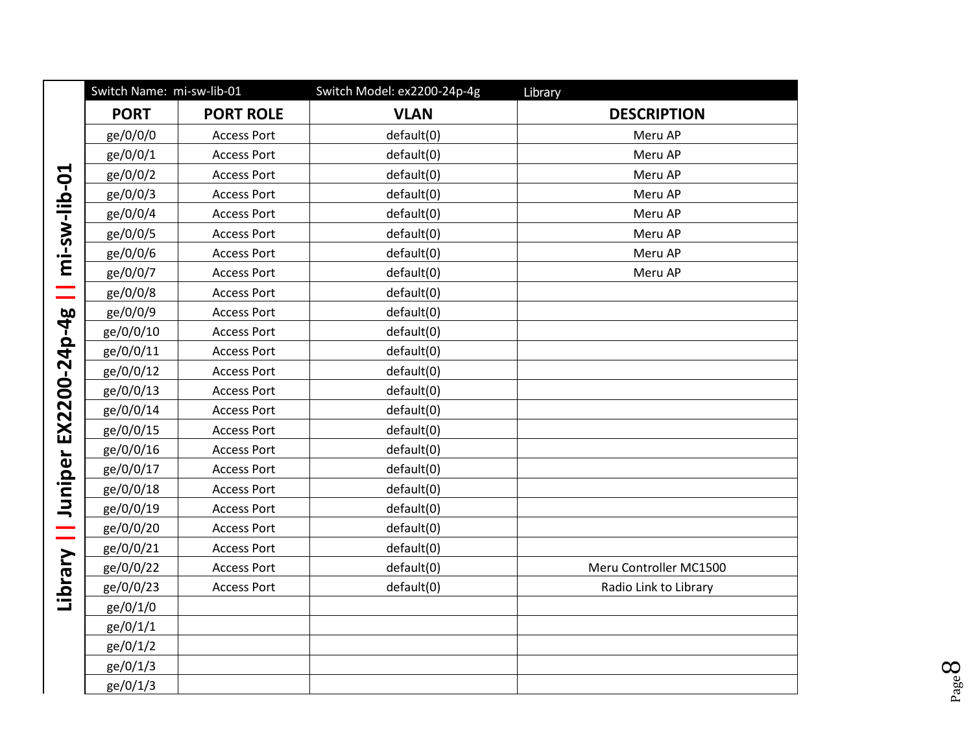|               | Switch Name: mi-sw-lib-01 |                    | Switch Model: ex2200-24p-4g | Library                |
|---------------|---------------------------|--------------------|-----------------------------|------------------------|
|               | <b>PORT</b>               | <b>PORT ROLE</b>   | <b>VLAN</b>                 | <b>DESCRIPTION</b>     |
| mi-sw-lib-01  | ge/0/0/0                  | <b>Access Port</b> | default(0)                  | Meru AP                |
|               | ge/0/0/1                  | <b>Access Port</b> | default(0)                  | Meru AP                |
|               | ge/0/0/2                  | <b>Access Port</b> | default(0)                  | Meru AP                |
|               | ge/0/0/3                  | <b>Access Port</b> | default(0)                  | Meru AP                |
|               | ge/0/0/4                  | <b>Access Port</b> | default(0)                  | Meru AP                |
|               | ge/0/0/5                  | <b>Access Port</b> | default(0)                  | Meru AP                |
|               | ge/0/0/6                  | <b>Access Port</b> | default(0)                  | Meru AP                |
|               | ge/0/0/7                  | <b>Access Port</b> | default(0)                  | Meru AP                |
|               | ge/0/0/8                  | <b>Access Port</b> | default(0)                  |                        |
|               | ge/0/0/9                  | <b>Access Port</b> | default(0)                  |                        |
|               | ge/0/0/10                 | <b>Access Port</b> | default(0)                  |                        |
|               | ge/0/0/11                 | <b>Access Port</b> | default(0)                  |                        |
|               | ge/0/0/12                 | <b>Access Port</b> | default(0)                  |                        |
| EX2200-24p-4g | ge/0/0/13                 | <b>Access Port</b> | default(0)                  |                        |
|               | ge/0/0/14                 | <b>Access Port</b> | default(0)                  |                        |
|               | ge/0/0/15                 | <b>Access Port</b> | default(0)                  |                        |
|               | ge/0/0/16                 | <b>Access Port</b> | default(0)                  |                        |
| Juniper       | ge/0/0/17                 | <b>Access Port</b> | default(0)                  |                        |
|               | ge/0/0/18                 | <b>Access Port</b> | default(0)                  |                        |
|               | ge/0/0/19                 | <b>Access Port</b> | default(0)                  |                        |
| $\equiv$      | ge/0/0/20                 | <b>Access Port</b> | default(0)                  |                        |
|               | ge/0/0/21                 | <b>Access Port</b> | default(0)                  |                        |
|               | ge/0/0/22                 | <b>Access Port</b> | default(0)                  | Meru Controller MC1500 |
| Library       | ge/0/0/23                 | <b>Access Port</b> | default(0)                  | Radio Link to Library  |
|               | ge/0/1/0                  |                    |                             |                        |
|               | ge/0/1/1                  |                    |                             |                        |
|               | ge/0/1/2                  |                    |                             |                        |
|               | ge/0/1/3                  |                    |                             |                        |
|               | ge/0/1/3                  |                    |                             |                        |

 $_{\rm Page}8$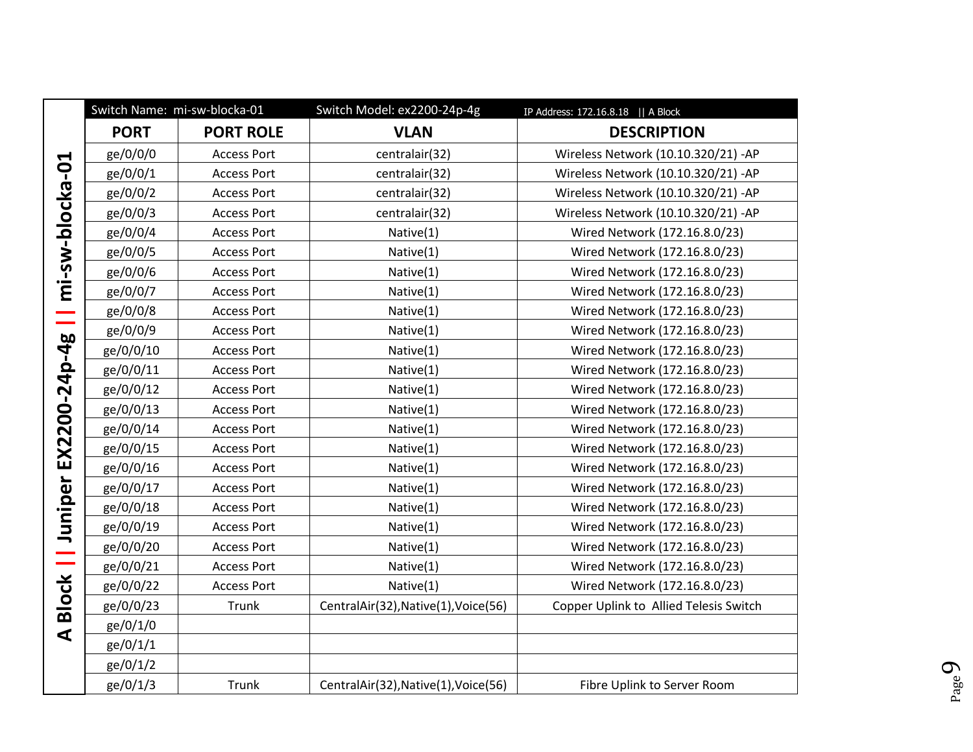|                        | Switch Name: mi-sw-blocka-01 |                    | Switch Model: ex2200-24p-4g          | IP Address: 172.16.8.18   A Block      |
|------------------------|------------------------------|--------------------|--------------------------------------|----------------------------------------|
|                        | <b>PORT</b>                  | <b>PORT ROLE</b>   | <b>VLAN</b>                          | <b>DESCRIPTION</b>                     |
|                        | ge/0/0/0                     | <b>Access Port</b> | centralair(32)                       | Wireless Network (10.10.320/21) - AP   |
| mi-sw-blocka-01        | ge/0/0/1                     | <b>Access Port</b> | centralair(32)                       | Wireless Network (10.10.320/21) - AP   |
|                        | ge/0/0/2                     | <b>Access Port</b> | centralair(32)                       | Wireless Network (10.10.320/21) - AP   |
|                        | ge/0/0/3                     | <b>Access Port</b> | centralair(32)                       | Wireless Network (10.10.320/21) - AP   |
|                        | ge/0/0/4                     | <b>Access Port</b> | Native(1)                            | Wired Network (172.16.8.0/23)          |
|                        | ge/0/0/5                     | <b>Access Port</b> | Native(1)                            | Wired Network (172.16.8.0/23)          |
|                        | ge/0/0/6                     | <b>Access Port</b> | Native(1)                            | Wired Network (172.16.8.0/23)          |
|                        | ge/0/0/7                     | <b>Access Port</b> | Native(1)                            | Wired Network (172.16.8.0/23)          |
|                        | ge/0/0/8                     | <b>Access Port</b> | Native(1)                            | Wired Network (172.16.8.0/23)          |
|                        | ge/0/0/9                     | <b>Access Port</b> | Native(1)                            | Wired Network (172.16.8.0/23)          |
| EX2200-24p-4g          | ge/0/0/10                    | <b>Access Port</b> | Native(1)                            | Wired Network (172.16.8.0/23)          |
|                        | ge/0/0/11                    | <b>Access Port</b> | Native(1)                            | Wired Network (172.16.8.0/23)          |
|                        | ge/0/0/12                    | <b>Access Port</b> | Native(1)                            | Wired Network (172.16.8.0/23)          |
|                        | ge/0/0/13                    | <b>Access Port</b> | Native(1)                            | Wired Network (172.16.8.0/23)          |
|                        | ge/0/0/14                    | <b>Access Port</b> | Native(1)                            | Wired Network (172.16.8.0/23)          |
|                        | ge/0/0/15                    | <b>Access Port</b> | Native(1)                            | Wired Network (172.16.8.0/23)          |
|                        | ge/0/0/16                    | <b>Access Port</b> | Native(1)                            | Wired Network (172.16.8.0/23)          |
|                        | ge/0/0/17                    | <b>Access Port</b> | Native(1)                            | Wired Network (172.16.8.0/23)          |
|                        | ge/0/0/18                    | <b>Access Port</b> | Native(1)                            | Wired Network (172.16.8.0/23)          |
|                        | ge/0/0/19                    | <b>Access Port</b> | Native(1)                            | Wired Network (172.16.8.0/23)          |
|                        | ge/0/0/20                    | <b>Access Port</b> | Native(1)                            | Wired Network (172.16.8.0/23)          |
|                        | ge/0/0/21                    | <b>Access Port</b> | Native(1)                            | Wired Network (172.16.8.0/23)          |
|                        | ge/0/0/22                    | <b>Access Port</b> | Native(1)                            | Wired Network (172.16.8.0/23)          |
| <b>Block   Juniper</b> | ge/0/0/23                    | Trunk              | CentralAir(32), Native(1), Voice(56) | Copper Uplink to Allied Telesis Switch |
| $\blacktriangleleft$   | ge/0/1/0                     |                    |                                      |                                        |
|                        | ge/0/1/1                     |                    |                                      |                                        |
|                        | ge/0/1/2                     |                    |                                      |                                        |
|                        | ge/0/1/3                     | Trunk              | CentralAir(32), Native(1), Voice(56) | Fibre Uplink to Server Room            |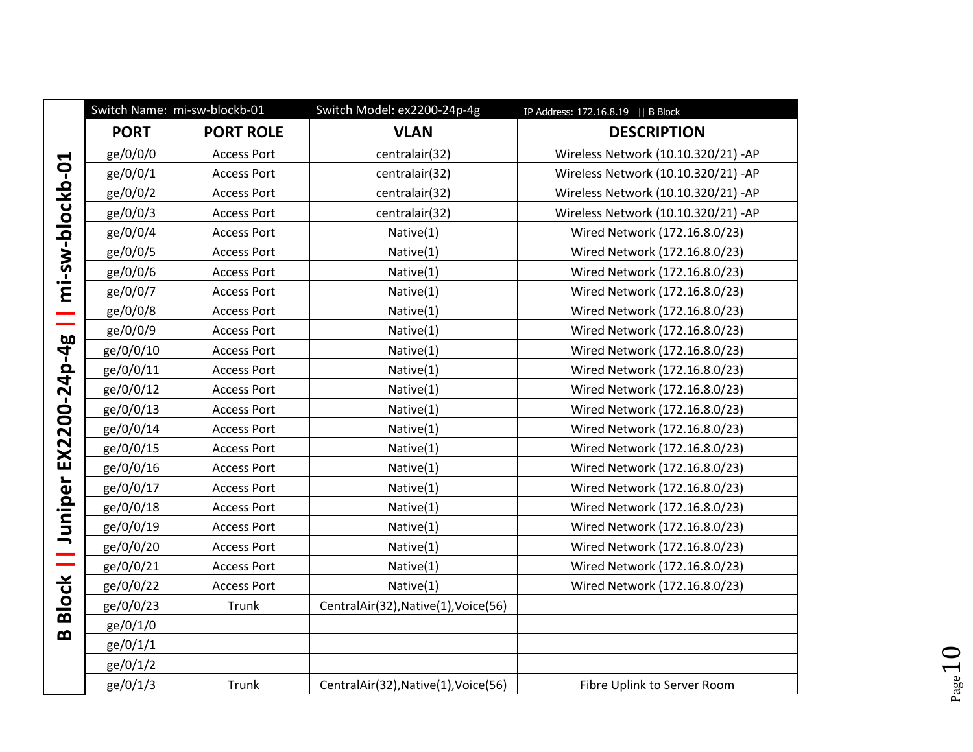|                 |             | Switch Name: mi-sw-blockb-01 | Switch Model: ex2200-24p-4g          | IP Address: 172.16.8.19    B Block   |
|-----------------|-------------|------------------------------|--------------------------------------|--------------------------------------|
|                 | <b>PORT</b> | <b>PORT ROLE</b>             | <b>VLAN</b>                          | <b>DESCRIPTION</b>                   |
|                 | ge/0/0/0    | <b>Access Port</b>           | centralair(32)                       | Wireless Network (10.10.320/21) - AP |
| mi-sw-blockb-01 | ge/0/0/1    | <b>Access Port</b>           | centralair(32)                       | Wireless Network (10.10.320/21) - AP |
|                 | ge/0/0/2    | <b>Access Port</b>           | centralair(32)                       | Wireless Network (10.10.320/21) - AP |
|                 | ge/0/0/3    | <b>Access Port</b>           | centralair(32)                       | Wireless Network (10.10.320/21) - AP |
|                 | ge/0/0/4    | <b>Access Port</b>           | Native(1)                            | Wired Network (172.16.8.0/23)        |
|                 | ge/0/0/5    | <b>Access Port</b>           | Native(1)                            | Wired Network (172.16.8.0/23)        |
|                 | ge/0/0/6    | <b>Access Port</b>           | Native(1)                            | Wired Network (172.16.8.0/23)        |
|                 | ge/0/0/7    | <b>Access Port</b>           | Native(1)                            | Wired Network (172.16.8.0/23)        |
| Ξ               | ge/0/0/8    | <b>Access Port</b>           | Native(1)                            | Wired Network (172.16.8.0/23)        |
|                 | ge/0/0/9    | <b>Access Port</b>           | Native(1)                            | Wired Network (172.16.8.0/23)        |
|                 | ge/0/0/10   | <b>Access Port</b>           | Native(1)                            | Wired Network (172.16.8.0/23)        |
| EX2200-24p-4g   | ge/0/0/11   | <b>Access Port</b>           | Native(1)                            | Wired Network (172.16.8.0/23)        |
|                 | ge/0/0/12   | <b>Access Port</b>           | Native(1)                            | Wired Network (172.16.8.0/23)        |
|                 | ge/0/0/13   | <b>Access Port</b>           | Native(1)                            | Wired Network (172.16.8.0/23)        |
|                 | ge/0/0/14   | <b>Access Port</b>           | Native(1)                            | Wired Network (172.16.8.0/23)        |
|                 | ge/0/0/15   | <b>Access Port</b>           | Native(1)                            | Wired Network (172.16.8.0/23)        |
|                 | ge/0/0/16   | <b>Access Port</b>           | Native(1)                            | Wired Network (172.16.8.0/23)        |
|                 | ge/0/0/17   | <b>Access Port</b>           | Native(1)                            | Wired Network (172.16.8.0/23)        |
| Juniper         | ge/0/0/18   | <b>Access Port</b>           | Native(1)                            | Wired Network (172.16.8.0/23)        |
|                 | ge/0/0/19   | <b>Access Port</b>           | Native(1)                            | Wired Network (172.16.8.0/23)        |
|                 | ge/0/0/20   | <b>Access Port</b>           | Native(1)                            | Wired Network (172.16.8.0/23)        |
|                 | ge/0/0/21   | <b>Access Port</b>           | Native(1)                            | Wired Network (172.16.8.0/23)        |
|                 | ge/0/0/22   | <b>Access Port</b>           | Native(1)                            | Wired Network (172.16.8.0/23)        |
| <b>Block   </b> | ge/0/0/23   | Trunk                        | CentralAir(32), Native(1), Voice(56) |                                      |
| $\bf{m}$        | ge/0/1/0    |                              |                                      |                                      |
|                 | ge/0/1/1    |                              |                                      |                                      |
|                 | ge/0/1/2    |                              |                                      |                                      |
|                 | ge/0/1/3    | Trunk                        | CentralAir(32), Native(1), Voice(56) | Fibre Uplink to Server Room          |

 $P_{\text{age}}10$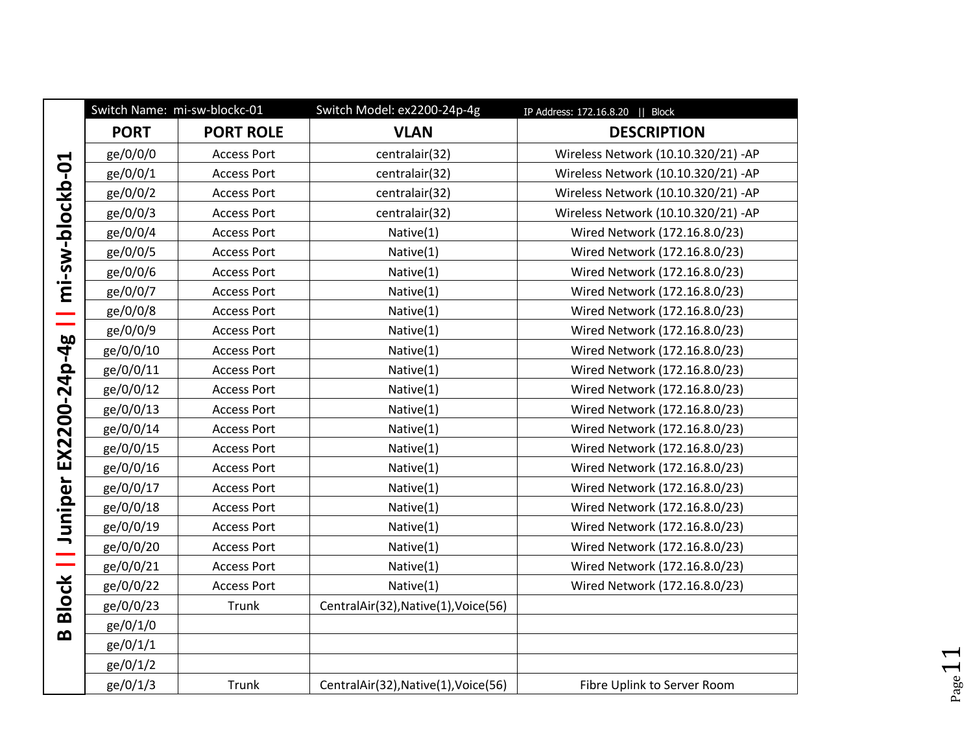|                          | Switch Name: mi-sw-blockc-01 |                    | Switch Model: ex2200-24p-4g          | IP Address: 172.16.8.20    Block     |
|--------------------------|------------------------------|--------------------|--------------------------------------|--------------------------------------|
|                          | <b>PORT</b>                  | <b>PORT ROLE</b>   | <b>VLAN</b>                          | <b>DESCRIPTION</b>                   |
|                          | ge/0/0/0                     | <b>Access Port</b> | centralair(32)                       | Wireless Network (10.10.320/21) - AP |
|                          | ge/0/0/1                     | <b>Access Port</b> | centralair(32)                       | Wireless Network (10.10.320/21) - AP |
|                          | ge/0/0/2                     | <b>Access Port</b> | centralair(32)                       | Wireless Network (10.10.320/21) - AP |
|                          | ge/0/0/3                     | <b>Access Port</b> | centralair(32)                       | Wireless Network (10.10.320/21) - AP |
|                          | ge/0/0/4                     | <b>Access Port</b> | Native(1)                            | Wired Network (172.16.8.0/23)        |
|                          | ge/0/0/5                     | <b>Access Port</b> | Native(1)                            | Wired Network (172.16.8.0/23)        |
| mi-sw-blockb-01          | ge/0/0/6                     | <b>Access Port</b> | Native(1)                            | Wired Network (172.16.8.0/23)        |
|                          | ge/0/0/7                     | <b>Access Port</b> | Native(1)                            | Wired Network (172.16.8.0/23)        |
| Ξ                        | ge/0/0/8                     | <b>Access Port</b> | Native(1)                            | Wired Network (172.16.8.0/23)        |
|                          | ge/0/0/9                     | <b>Access Port</b> | Native(1)                            | Wired Network (172.16.8.0/23)        |
| EX2200-24p-4g            | ge/0/0/10                    | <b>Access Port</b> | Native(1)                            | Wired Network (172.16.8.0/23)        |
|                          | ge/0/0/11                    | <b>Access Port</b> | Native(1)                            | Wired Network (172.16.8.0/23)        |
|                          | ge/0/0/12                    | <b>Access Port</b> | Native(1)                            | Wired Network (172.16.8.0/23)        |
|                          | ge/0/0/13                    | <b>Access Port</b> | Native(1)                            | Wired Network (172.16.8.0/23)        |
|                          | ge/0/0/14                    | <b>Access Port</b> | Native(1)                            | Wired Network (172.16.8.0/23)        |
|                          | ge/0/0/15                    | <b>Access Port</b> | Native(1)                            | Wired Network (172.16.8.0/23)        |
|                          | ge/0/0/16                    | <b>Access Port</b> | Native(1)                            | Wired Network (172.16.8.0/23)        |
|                          | ge/0/0/17                    | <b>Access Port</b> | Native(1)                            | Wired Network (172.16.8.0/23)        |
|                          | ge/0/0/18                    | <b>Access Port</b> | Native(1)                            | Wired Network (172.16.8.0/23)        |
|                          | ge/0/0/19                    | <b>Access Port</b> | Native(1)                            | Wired Network (172.16.8.0/23)        |
|                          | ge/0/0/20                    | <b>Access Port</b> | Native(1)                            | Wired Network (172.16.8.0/23)        |
| <b>Block     Juniper</b> | ge/0/0/21                    | <b>Access Port</b> | Native(1)                            | Wired Network (172.16.8.0/23)        |
|                          | ge/0/0/22                    | <b>Access Port</b> | Native(1)                            | Wired Network (172.16.8.0/23)        |
|                          | ge/0/0/23                    | Trunk              | CentralAir(32), Native(1), Voice(56) |                                      |
| $\bf{m}$                 | ge/0/1/0                     |                    |                                      |                                      |
|                          | ge/0/1/1                     |                    |                                      |                                      |
|                          | ge/0/1/2                     |                    |                                      |                                      |
|                          | ge/0/1/3                     | Trunk              | CentralAir(32), Native(1), Voice(56) | Fibre Uplink to Server Room          |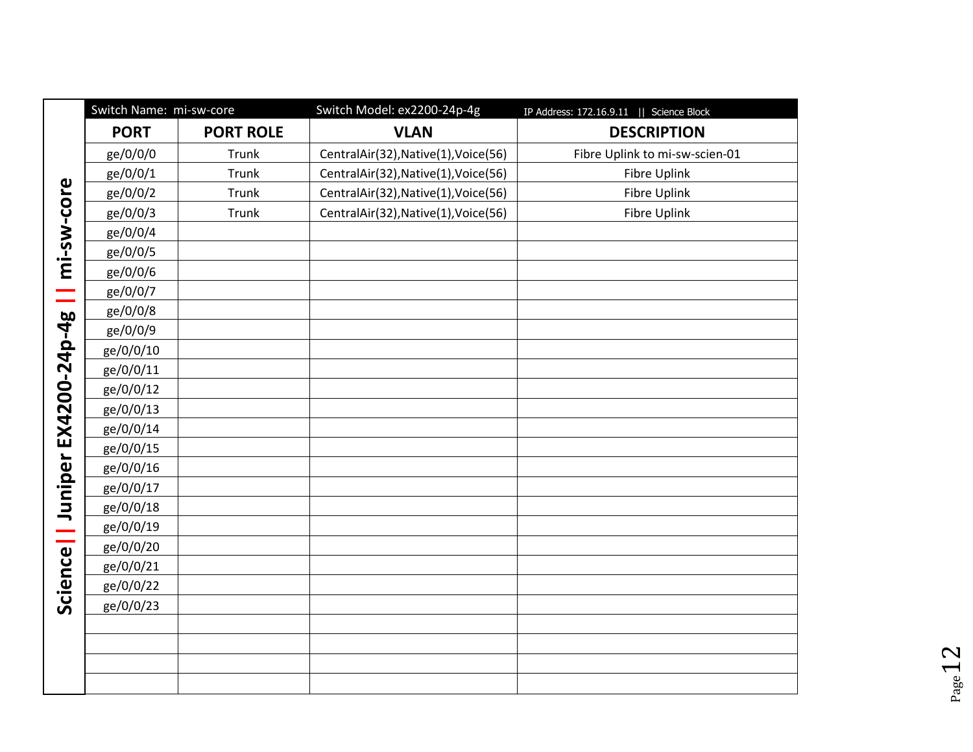|                                   | Switch Name: mi-sw-core |                  | Switch Model: ex2200-24p-4g          | IP Address: 172.16.9.11    Science Block |
|-----------------------------------|-------------------------|------------------|--------------------------------------|------------------------------------------|
| mi-sw-core<br>Ξ                   | <b>PORT</b>             | <b>PORT ROLE</b> | <b>VLAN</b>                          | <b>DESCRIPTION</b>                       |
|                                   | ge/0/0/0                | Trunk            | CentralAir(32), Native(1), Voice(56) | Fibre Uplink to mi-sw-scien-01           |
|                                   | ge/0/0/1                | Trunk            | CentralAir(32), Native(1), Voice(56) | Fibre Uplink                             |
|                                   | ge/0/0/2                | Trunk            | CentralAir(32), Native(1), Voice(56) | <b>Fibre Uplink</b>                      |
|                                   | ge/0/0/3                | Trunk            | CentralAir(32), Native(1), Voice(56) | <b>Fibre Uplink</b>                      |
|                                   | ge/0/0/4                |                  |                                      |                                          |
|                                   | ge/0/0/5                |                  |                                      |                                          |
|                                   | ge/0/0/6                |                  |                                      |                                          |
|                                   | ge/0/0/7                |                  |                                      |                                          |
|                                   | ge/0/0/8                |                  |                                      |                                          |
|                                   | ge/0/0/9                |                  |                                      |                                          |
|                                   | ge/0/0/10               |                  |                                      |                                          |
|                                   | ge/0/0/11               |                  |                                      |                                          |
|                                   | ge/0/0/12               |                  |                                      |                                          |
|                                   | ge/0/0/13               |                  |                                      |                                          |
|                                   | ge/0/0/14               |                  |                                      |                                          |
|                                   | ge/0/0/15               |                  |                                      |                                          |
| Science     Juniper EX4200-24p-4g | ge/0/0/16               |                  |                                      |                                          |
|                                   | ge/0/0/17               |                  |                                      |                                          |
|                                   | ge/0/0/18               |                  |                                      |                                          |
|                                   | ge/0/0/19               |                  |                                      |                                          |
|                                   | ge/0/0/20               |                  |                                      |                                          |
|                                   | ge/0/0/21               |                  |                                      |                                          |
|                                   | ge/0/0/22               |                  |                                      |                                          |
|                                   | ge/0/0/23               |                  |                                      |                                          |
|                                   |                         |                  |                                      |                                          |
|                                   |                         |                  |                                      |                                          |
|                                   |                         |                  |                                      |                                          |
|                                   |                         |                  |                                      |                                          |